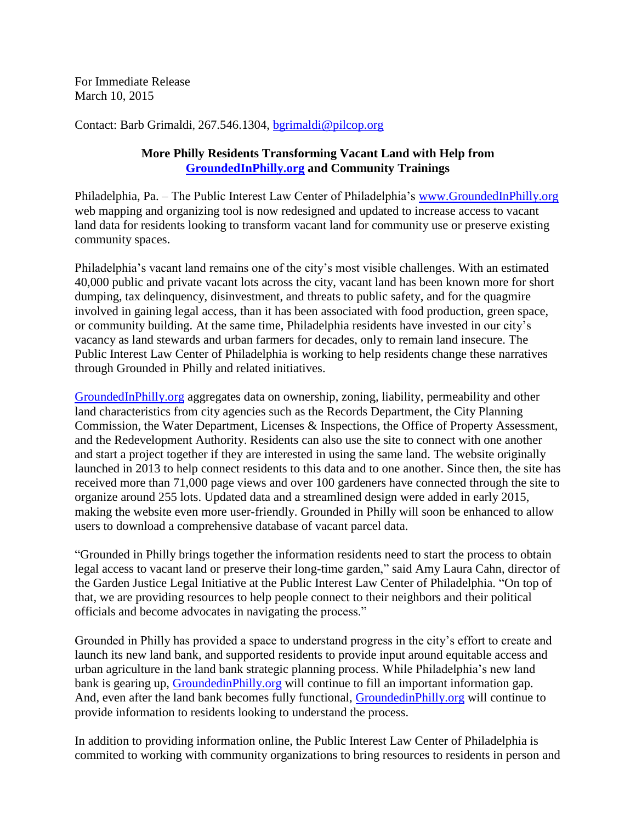For Immediate Release March 10, 2015

Contact: Barb Grimaldi, 267.546.1304, [bgrimaldi@pilcop.org](mailto:bgrimaldi@pilcop.org)

## **More Philly Residents Transforming Vacant Land with Help from [GroundedInPhilly.org](http://www.groundedinphilly.org/) and Community Trainings**

Philadelphia, Pa. – The Public Interest Law Center of Philadelphia's [www.GroundedInPhilly.org](http://www.groundedinphilly.org/) web mapping and organizing tool is now redesigned and updated to increase access to vacant land data for residents looking to transform vacant land for community use or preserve existing community spaces.

Philadelphia's vacant land remains one of the city's most visible challenges. With an estimated 40,000 public and private vacant lots across the city, vacant land has been known more for short dumping, tax delinquency, disinvestment, and threats to public safety, and for the quagmire involved in gaining legal access, than it has been associated with food production, green space, or community building. At the same time, Philadelphia residents have invested in our city's vacancy as land stewards and urban farmers for decades, only to remain land insecure. The Public Interest Law Center of Philadelphia is working to help residents change these narratives through Grounded in Philly and related initiatives.

[GroundedInPhilly.org](http://www.groundedinphilly.org/) aggregates data on ownership, zoning, liability, permeability and other land characteristics from city agencies such as the Records Department, the City Planning Commission, the Water Department, Licenses & Inspections, the Office of Property Assessment, and the Redevelopment Authority. Residents can also use the site to connect with one another and start a project together if they are interested in using the same land. The website originally launched in 2013 to help connect residents to this data and to one another. Since then, the site has received more than 71,000 page views and over 100 gardeners have connected through the site to organize around 255 lots. Updated data and a streamlined design were added in early 2015, making the website even more user-friendly. Grounded in Philly will soon be enhanced to allow users to download a comprehensive database of vacant parcel data.

"Grounded in Philly brings together the information residents need to start the process to obtain legal access to vacant land or preserve their long-time garden," said Amy Laura Cahn, director of the Garden Justice Legal Initiative at the Public Interest Law Center of Philadelphia. "On top of that, we are providing resources to help people connect to their neighbors and their political officials and become advocates in navigating the process."

Grounded in Philly has provided a space to understand progress in the city's effort to create and launch its new land bank, and supported residents to provide input around equitable access and urban agriculture in the land bank strategic planning process. While Philadelphia's new land bank is gearing up, [GroundedinPhilly.org](http://www.groundedinphilly.org/) will continue to fill an important information gap. And, even after the land bank becomes fully functional, [GroundedinPhilly.org](http://www.groundedinphilly.org/) will continue to provide information to residents looking to understand the process.

In addition to providing information online, the Public Interest Law Center of Philadelphia is commited to working with community organizations to bring resources to residents in person and